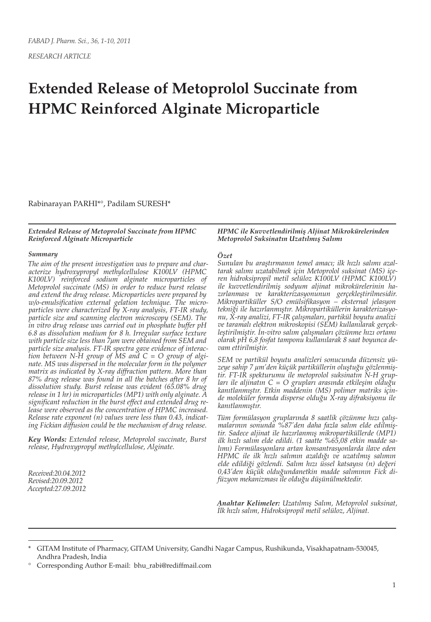*RESEARCH ARTICLE*

# **Extended Release of Metoprolol Succinate from HPMC Reinforced Alginate Microparticle**

Rabinarayan PARHI\*°, Padilam SURESH\*

*Extended Release of Metoprolol Succinate from HPMC Reinforced Alginate Microparticle*

#### *Summary*

*The aim of the present investigation was to prepare and characterize hydroxypropyl methylcellulose K100LV (HPMC K100LV) reinforced sodium alginate microparticles of Metoprolol succinate (MS) in order to reduce burst release and extend the drug release. Microparticles were prepared by w/o-emulsification external gelation technique. The microparticles were characterized by X-ray analysis, FT-IR study, particle size and scanning electron microscopy (SEM). The in vitro drug release was carried out in phosphate buffer pH 6.8 as dissolution medium for 8 h. Irregular surface texture with particle size less than 7µm were obtained from SEM and particle size analysis. FT-IR spectra gave evidence of interaction between N-H group of MS and C = O group of alginate. MS was dispersed in the molecular form in the polymer matrix as indicated by X-ray diffraction pattern. More than 87% drug release was found in all the batches after 8 hr of dissolution study. Burst release was evident (65.08% drug release in 1 hr) in microparticles (MP1) with only alginate. A significant reduction in the burst effect and extended drug release were observed as the concentration of HPMC increased. Release rate exponent (n) values were less than 0.43, indicating Fickian diffusion could be the mechanism of drug release.*

*Key Words: Extended release, Metoprolol succinate, Burst release, Hydroxypropyl methylcellulose, Alginate.*

*Received:20.04.2012 Revised:20.09.2012 Accepted:27.09.2012*

#### *HPMC ile Kuvvetlendirilmiş Aljinat Mikrokürelerinden Metoprolol Suksinatın Uzatılmış Salımı*

#### *Özet*

*Sunulan bu araştırmanın temel amacı; ilk hızlı salımı azaltarak salımı uzatabilmek için Metoprolol suksinat (MS) içeren hidroksipropil metil selüloz K100LV (HPMC K100LV) ile kuvvetlendirilmiş sodyum aljinat mikrokürelerinin hazırlanması ve karakterizasyonunun gerçekleştirilmesidir. Mikropartiküller S/O emülsifikasyon – eksternal jelasyon tekniği ile hazırlanmıştır. Mikropartiküllerin karakterizasyonu, X-ray analizi, FT-IR çalışmaları, partikül boyutu analizi ve taramalı elektron mikroskopisi (SEM) kullanılarak gerçekleştirilmiştir. İn-vitro salım çalışmaları çözünme hızı ortamı olarak pH 6,8 fosfat tamponu kullanılarak 8 saat boyunca devam ettirilmiştir.*

*SEM ve partikül boyutu analizleri sonucunda düzensiz yüzeye sahip 7 μm'den küçük partiküllerin oluştuğu gözlenmiştir. FT-IR spekturumu ile metoprolol suksinatın N-H grupları ile aljinatın C = O grupları arasında etkileşim olduğu kanıtlanmıştır. Etkin maddenin (MS) polimer matriks içinde moleküler formda disperse olduğu X-ray difraksiyonu ile kanıtlanmıştır.*

*Tüm formülasyon gruplarında 8 saatlik çözünme hızı çalışmalarının sonunda %87'den daha fazla salım elde edilmiştir. Sadece aljinat ile hazırlanmış mikropartiküllerde (MP1) ilk hızlı salım elde edildi. (1 saatte %65,08 etkin madde salımı) Formülasyonlara artan konsantrasyonlarda ilave eden HPMC ile ilk hızlı salımın azaldığı ve uzatılmış salımın elde edildiği gözlendi. Salım hızı üssel katsayısı (n) değeri 0,43'den küçük olduğundanetkin madde salımının Fick difüzyon mekanizması ile olduğu düşünülmektedir.*

*Anahtar Kelimeler: Uzatılmış Salım, Metoprolol suksinat, İlk hızlı salım, Hidroksipropil metil selüloz, Aljinat.*

° Corresponding Author E-mail: bhu\_rabi@rediffmail.com

<sup>\*</sup> GITAM Institute of Pharmacy, GITAM University, Gandhi Nagar Campus, Rushikunda, Visakhapatnam-530045, Andhra Pradesh, India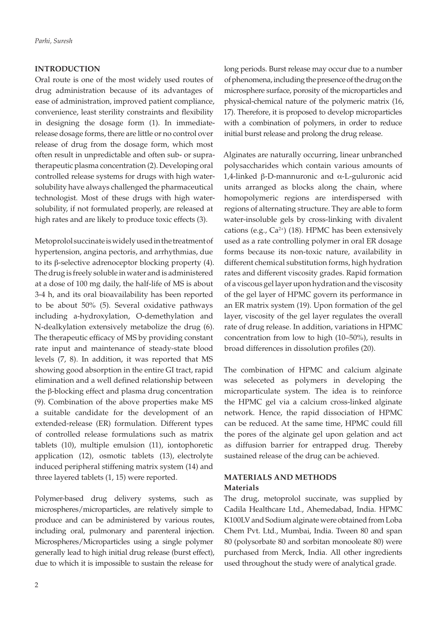# **INTRODUCTION**

Oral route is one of the most widely used routes of drug administration because of its advantages of ease of administration, improved patient compliance, convenience, least sterility constraints and flexibility in designing the dosage form (1). In immediaterelease dosage forms, there are little or no control over release of drug from the dosage form, which most often result in unpredictable and often sub- or supratherapeutic plasma concentration (2). Developing oral controlled release systems for drugs with high watersolubility have always challenged the pharmaceutical technologist. Most of these drugs with high watersolubility, if not formulated properly, are released at high rates and are likely to produce toxic effects (3).

Metoprolol succinate is widely used in the treatment of hypertension, angina pectoris, and arrhythmias, due to its β-selective adrenoceptor blocking property (4). The drug is freely soluble in water and is administered at a dose of 100 mg daily, the half-life of MS is about 3-4 h, and its oral bioavailability has been reported to be about 50% (5). Several oxidative pathways including a-hydroxylation, O-demethylation and N-dealkylation extensively metabolize the drug (6). The therapeutic efficacy of MS by providing constant rate input and maintenance of steady-state blood levels (7, 8). In addition, it was reported that MS showing good absorption in the entire GI tract, rapid elimination and a well defined relationship between the β-blocking effect and plasma drug concentration (9). Combination of the above properties make MS a suitable candidate for the development of an extended-release (ER) formulation. Different types of controlled release formulations such as matrix tablets (10), multiple emulsion (11), iontophoretic application (12), osmotic tablets (13), electrolyte induced peripheral stiffening matrix system (14) and three layered tablets (1, 15) were reported.

Polymer-based drug delivery systems, such as microspheres/microparticles, are relatively simple to produce and can be administered by various routes, including oral, pulmonary and parenteral injection. Microspheres/Microparticles using a single polymer generally lead to high initial drug release (burst effect), due to which it is impossible to sustain the release for

long periods. Burst release may occur due to a number of phenomena, including the presence of the drug on the microsphere surface, porosity of the microparticles and physical-chemical nature of the polymeric matrix (16, 17). Therefore, it is proposed to develop microparticles with a combination of polymers, in order to reduce initial burst release and prolong the drug release.

Alginates are naturally occurring, linear unbranched polysaccharides which contain various amounts of 1,4-linked β-D-mannuronic and α-L-guluronic acid units arranged as blocks along the chain, where homopolymeric regions are interdispersed with regions of alternating structure. They are able to form water-insoluble gels by cross-linking with divalent cations (e.g.,  $Ca^{2+}$ ) (18). HPMC has been extensively used as a rate controlling polymer in oral ER dosage forms because its non-toxic nature, availability in different chemical substitution forms, high hydration rates and different viscosity grades. Rapid formation of a viscous gel layer upon hydration and the viscosity of the gel layer of HPMC govern its performance in an ER matrix system (19). Upon formation of the gel layer, viscosity of the gel layer regulates the overall rate of drug release. In addition, variations in HPMC concentration from low to high (10–50%), results in broad differences in dissolution profiles (20).

The combination of HPMC and calcium alginate was seleceted as polymers in developing the microparticulate system. The idea is to reinforce the HPMC gel via a calcium cross-linked alginate network. Hence, the rapid dissociation of HPMC can be reduced. At the same time, HPMC could fill the pores of the alginate gel upon gelation and act as diffusion barrier for entrapped drug. Thereby sustained release of the drug can be achieved.

# **MATERIALS AND METHODS Materials**

The drug, metoprolol succinate, was supplied by Cadila Healthcare Ltd., Ahemedabad, India. HPMC K100LV and Sodium alginate were obtained from Loba Chem Pvt. Ltd., Mumbai, India. Tween 80 and span 80 (polysorbate 80 and sorbitan monooleate 80) were purchased from Merck, India. All other ingredients used throughout the study were of analytical grade.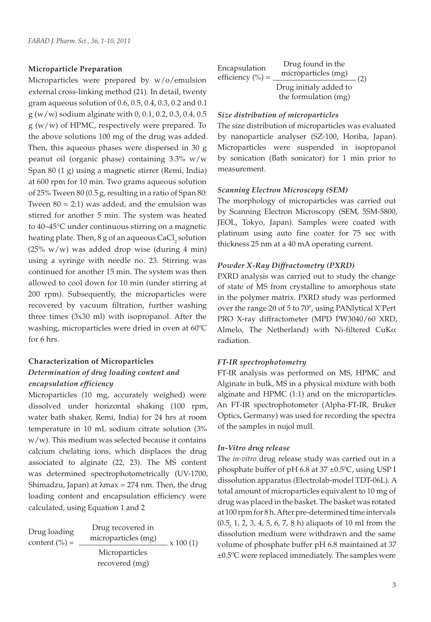#### **Microparticle Preparation**

Microparticles were prepared by w/o/emulsion external cross-linking method (21). In detail, twenty gram aqueous solution of 0.6, 0.5, 0.4, 0.3, 0.2 and 0.1 g (w/w) sodium alginate with 0, 0.1, 0.2, 0.3, 0.4, 0.5 g (w/w) of HPMC, respectively were prepared. To the above solutions 100 mg of the drug was added. Then, this aqueous phases were dispersed in 30 g peanut oil (organic phase) containing 3.3% w/w Span 80 (1 g) using a magnetic stirrer (Remi, India) at 600 rpm for 10 min. Two grams aqueous solution of 25% Tween 80 (0.5 g, resulting in a ratio of Span 80: Tween  $80 = 2:1$ ) was added, and the emulsion was stirred for another 5 min. The system was heated to 40–45°C under continuous stirring on a magnetic heating plate. Then,  $8$  g of an aqueous CaCl<sub>2</sub> solution ( $25\%$  w/w) was added drop wise (during 4 min) using a syringe with needle no. 23. Stirring was continued for another 15 min. The system was then allowed to cool down for 10 min (under stirring at 200 rpm). Subsequently, the microparticles were recovered by vacuum filtration, further washing three times (3x30 ml) with isopropanol. After the washing, microparticles were dried in oven at 60ºC for 6 hrs.

# **Characterization of Microparticles** *Determination of drug loading content and encapsulation efficiency*

Microparticles (10 mg, accurately weighed) were dissolved under horizontal shaking (100 rpm, water bath shaker, Remi, India) for 24 hrs at room temperature in 10 mL sodium citrate solution (3% w/w). This medium was selected because it contains calcium chelating ions, which displaces the drug associated to alginate (22, 23). The MS content was determined spectrophotometrically (UV-1700, Shimadzu, Japan) at  $\lambda$ max = 274 nm. Then, the drug loading content and encapsulation efficiency were calculated, using Equation 1 and 2

Drug loading content  $\binom{0}{0}$  = Drug recovered in microparticles (mg)  $\times 100(1)$ Microparticles recovered (mg)

| Encapsulation        | Drug found in the                              |     |  |
|----------------------|------------------------------------------------|-----|--|
| efficiency $(\% )$ = | microparticles (mg)                            |     |  |
|                      | Drug initialy added to<br>the formulation (mg) | (2) |  |

# *Size distribution of microparticles*

The size distribution of microparticles was evaluated by nanoparticle analyser (SZ-100, Horiba, Japan). Microparticles were suspended in isopropanol by sonication (Bath sonicator) for 1 min prior to measurement.

#### *Scanning Electron Microscopy (SEM)*

The morphology of microparticles was carried out by Scanning Electron Microscopy (SEM, 5SM-5800, JEOL, Tokyo, Japan). Samples were coated with platinum using auto fine coater for 75 sec with thickness 25 nm at a 40 mA operating current.

## *Powder X-Ray Diffractometry (PXRD)*

PXRD analysis was carried out to study the change of state of MS from crystalline to amorphous state in the polymer matrix. PXRD study was performed over the range 2θ of 5 to 70º, using PANlytical X'Pert PRO X-ray diffractometer (MPD PW3040/60 XRD, Almelo, The Netherland) with Ni-filtered CuKα radiation.

#### *FT-IR spectrophotometry*

FT-IR analysis was performed on MS, HPMC and Alginate in bulk, MS in a physical mixture with both alginate and HPMC (1:1) and on the microparticles. An FT-IR spectrophotometer (Alpha-FT-IR, Bruker Optics, Germany) was used for recording the spectra of the samples in nujol mull.

## *In-Vitro drug release*

The *in-vitro* drug release study was carried out in a phosphate buffer of pH 6.8 at 37 ±0.5ºC, using USP I dissolution apparatus (Electrolab-model TDT-06L). A total amount of microparticles equivalent to 10 mg of drug was placed in the basket. The basket was rotated at 100 rpm for 8 h. After pre-determined time intervals (0.5, 1, 2, 3, 4, 5, 6, 7, 8 h) aliquots of 10 ml from the dissolution medium were withdrawn and the same volume of phosphate buffer pH 6.8 maintained at 37 ±0.5ºC were replaced immediately. The samples were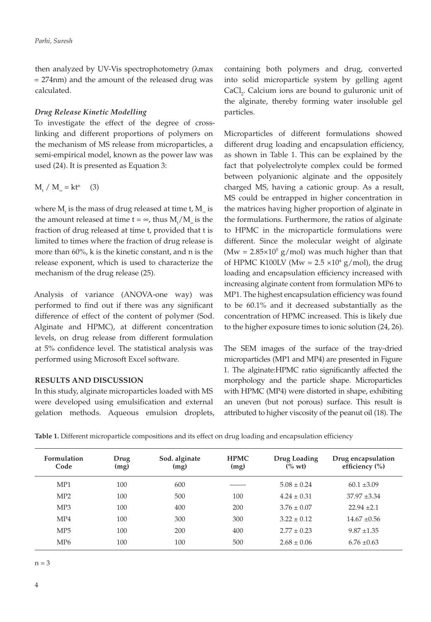then analyzed by UV-Vis spectrophotometry (λmax = 274nm) and the amount of the released drug was calculated.

# *Drug Release Kinetic Modelling*

To investigate the effect of the degree of crosslinking and different proportions of polymers on the mechanism of MS release from microparticles, a semi-empirical model, known as the power law was used (24). It is presented as Equation 3:

$$
M_{t} / M_{\infty} = kt^{n} \quad (3)
$$

where  $\mathbf{M}_{\mathsf{t}}$  is the mass of drug released at time t,  $\mathbf{M}_{\mathsf{\scriptscriptstyle w}}$  is the amount released at time  $t = \infty$ , thus  $M_t/M_{\infty}$  is the fraction of drug released at time t, provided that t is limited to times where the fraction of drug release is more than 60%, k is the kinetic constant, and n is the release exponent, which is used to characterize the mechanism of the drug release (25).

Analysis of variance (ANOVA-one way) was performed to find out if there was any significant difference of effect of the content of polymer (Sod. Alginate and HPMC), at different concentration levels, on drug release from different formulation at 5% confidence level. The statistical analysis was performed using Microsoft Excel software.

# **RESULTS AND DISCUSSION**

In this study, alginate microparticles loaded with MS were developed using emulsification and external gelation methods. Aqueous emulsion droplets, containing both polymers and drug, converted into solid microparticle system by gelling agent  $CaCl<sub>2</sub>$ . Calcium ions are bound to guluronic unit of the alginate, thereby forming water insoluble gel particles.

Microparticles of different formulations showed different drug loading and encapsulation efficiency, as shown in Table 1. This can be explained by the fact that polyelectrolyte complex could be formed between polyanionic alginate and the oppositely charged MS, having a cationic group. As a result, MS could be entrapped in higher concentration in the matrices having higher proportion of alginate in the formulations. Furthermore, the ratios of alginate to HPMC in the microparticle formulations were different. Since the molecular weight of alginate (Mw =  $2.85 \times 10^5$  g/mol) was much higher than that of HPMC K100LV (Mw =  $2.5 \times 10^4$  g/mol), the drug loading and encapsulation efficiency increased with increasing alginate content from formulation MP6 to MP1. The highest encapsulation efficiency was found to be 60.1% and it decreased substantially as the concentration of HPMC increased. This is likely due to the higher exposure times to ionic solution (24, 26).

The SEM images of the surface of the tray-dried microparticles (MP1 and MP4) are presented in Figure 1. The alginate:HPMC ratio significantly affected the morphology and the particle shape. Microparticles with HPMC (MP4) were distorted in shape, exhibiting an uneven (but not porous) surface. This result is attributed to higher viscosity of the peanut oil (18). The

|  | Table 1. Different microparticle compositions and its effect on drug loading and encapsulation efficiency |  |  |  |  |  |
|--|-----------------------------------------------------------------------------------------------------------|--|--|--|--|--|
|  |                                                                                                           |  |  |  |  |  |

| Formulation<br>Code | Drug<br>(mg) | Sod. alginate<br>(mg) | <b>HPMC</b><br>(mg) | Drug Loading<br>$(% \text{ wt})$ | Drug encapsulation<br>efficiency (%) |
|---------------------|--------------|-----------------------|---------------------|----------------------------------|--------------------------------------|
| MP1                 | 100          | 600                   |                     | $5.08 \pm 0.24$                  | $60.1 \pm 3.09$                      |
| MP2                 | 100          | 500                   | 100                 | $4.24 \pm 0.31$                  | $37.97 \pm 3.34$                     |
| MP <sub>3</sub>     | 100          | 400                   | 200                 | $3.76 \pm 0.07$                  | $22.94 \pm 2.1$                      |
| MP4                 | 100          | 300                   | 300                 | $3.22 \pm 0.12$                  | $14.67 \pm 0.56$                     |
| MP <sub>5</sub>     | 100          | 200                   | 400                 | $2.77 \pm 0.23$                  | $9.87 \pm 1.35$                      |
| MP <sub>6</sub>     | 100          | 100                   | 500                 | $2.68 \pm 0.06$                  | $6.76 \pm 0.63$                      |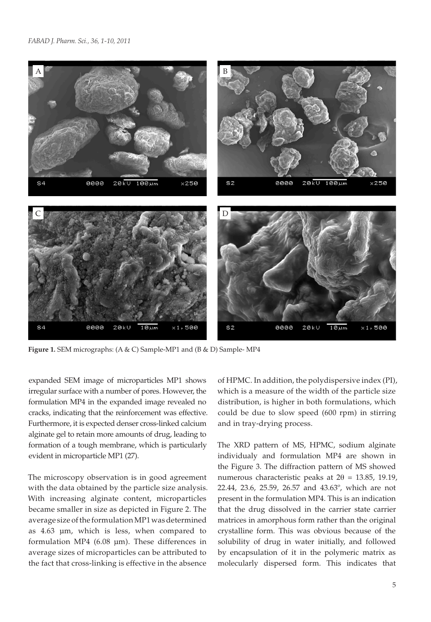

**Figure 1.** SEM micrographs: (A & C) Sample-MP1 and (B & D) Sample- MP4

expanded SEM image of microparticles MP1 shows irregular surface with a number of pores. However, the formulation MP4 in the expanded image revealed no cracks, indicating that the reinforcement was effective. Furthermore, it is expected denser cross-linked calcium alginate gel to retain more amounts of drug, leading to formation of a tough membrane, which is particularly evident in microparticle MP1 (27).

The microscopy observation is in good agreement with the data obtained by the particle size analysis. With increasing alginate content, microparticles became smaller in size as depicted in Figure 2. The average size of the formulation MP1 was determined as 4.63 µm, which is less, when compared to formulation MP4 (6.08 µm). These differences in average sizes of microparticles can be attributed to the fact that cross-linking is effective in the absence

of HPMC. In addition, the polydispersive index (PI), which is a measure of the width of the particle size distribution, is higher in both formulations, which could be due to slow speed (600 rpm) in stirring and in tray-drying process.

The XRD pattern of MS, HPMC, sodium alginate individualy and formulation MP4 are shown in the Figure 3. The diffraction pattern of MS showed numerous characteristic peaks at  $2\theta = 13.85$ , 19.19, 22.44, 23.6, 25.59, 26.57 and 43.63º, which are not present in the formulation MP4. This is an indication that the drug dissolved in the carrier state carrier matrices in amorphous form rather than the original crystalline form. This was obvious because of the solubility of drug in water initially, and followed by encapsulation of it in the polymeric matrix as molecularly dispersed form. This indicates that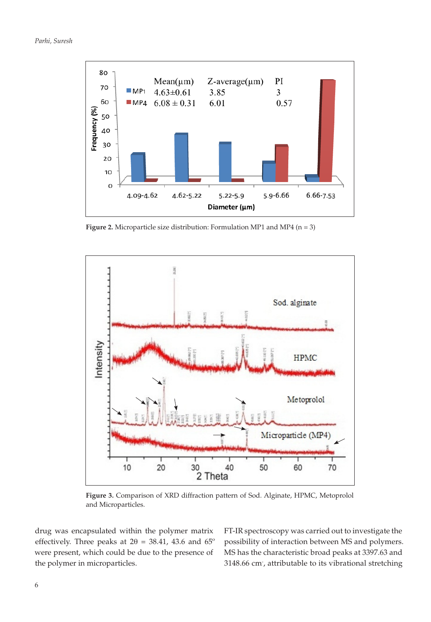

**Figure 2.** Microparticle size distribution: Formulation MP1 and MP4 (n = 3)



**Figure 3.** Comparison of XRD diffraction pattern of Sod. Alginate, HPMC, Metoprolol and Microparticles.

drug was encapsulated within the polymer matrix effectively. Three peaks at  $2\theta = 38.41$ , 43.6 and  $65^{\circ}$ were present, which could be due to the presence of the polymer in microparticles.

FT-IR spectroscopy was carried out to investigate the possibility of interaction between MS and polymers. MS has the characteristic broad peaks at 3397.63 and 3148.66 cm- , attributable to its vibrational stretching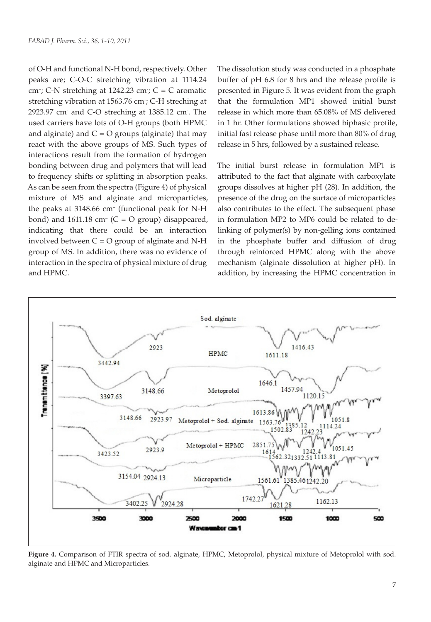of O-H and functional N-H bond, respectively. Other peaks are; C-O-C stretching vibration at 1114.24 cm<sup>-</sup>; C-N stretching at 1242.23 cm<sup>-</sup>; C = C aromatic stretching vibration at 1563.76 cm- ; C-H streching at 2923.97 cm- and C-O streching at 1385.12 cm- . The used carriers have lots of O-H groups (both HPMC and alginate) and  $C = O$  groups (alginate) that may react with the above groups of MS. Such types of interactions result from the formation of hydrogen bonding between drug and polymers that will lead to frequency shifts or splitting in absorption peaks. As can be seen from the spectra (Figure 4) of physical mixture of MS and alginate and microparticles, the peaks at 3148.66 cm– (functional peak for N-H bond) and  $1611.18$  cm<sup>-</sup> (C = O group) disappeared, indicating that there could be an interaction involved between  $C = O$  group of alginate and N-H group of MS. In addition, there was no evidence of interaction in the spectra of physical mixture of drug and HPMC.

The dissolution study was conducted in a phosphate buffer of pH 6.8 for 8 hrs and the release profile is presented in Figure 5. It was evident from the graph that the formulation MP1 showed initial burst release in which more than 65.08% of MS delivered in 1 hr. Other formulations showed biphasic profile, initial fast release phase until more than 80% of drug release in 5 hrs, followed by a sustained release.

The initial burst release in formulation MP1 is attributed to the fact that alginate with carboxylate groups dissolves at higher pH (28). In addition, the presence of the drug on the surface of microparticles also contributes to the effect. The subsequent phase in formulation MP2 to MP6 could be related to delinking of polymer(s) by non-gelling ions contained in the phosphate buffer and diffusion of drug through reinforced HPMC along with the above mechanism (alginate dissolution at higher pH). In addition, by increasing the HPMC concentration in



**Figure 4.** Comparison of FTIR spectra of sod. alginate, HPMC, Metoprolol, physical mixture of Metoprolol with sod. alginate and HPMC and Microparticles.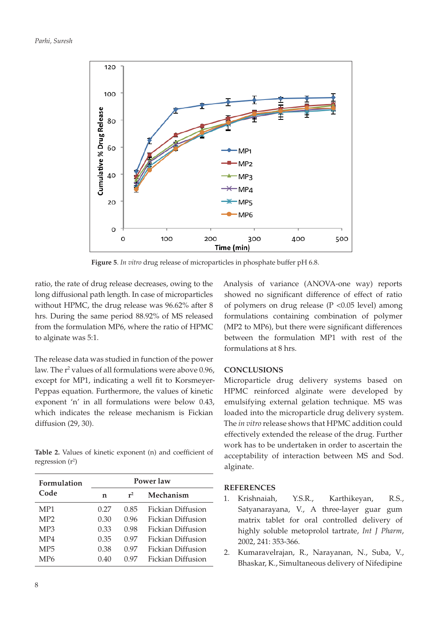

**Figure 5**. *In vitro* drug release of microparticles in phosphate buffer pH 6.8.

ratio, the rate of drug release decreases, owing to the long diffusional path length. In case of microparticles without HPMC, the drug release was 96.62% after 8 hrs. During the same period 88.92% of MS released from the formulation MP6, where the ratio of HPMC to alginate was 5:1.

The release data was studied in function of the power law. The r<sup>2</sup> values of all formulations were above 0.96, except for MP1, indicating a well fit to Korsmeyer-Peppas equation. Furthermore, the values of kinetic exponent 'n' in all formulations were below 0.43, which indicates the release mechanism is Fickian diffusion (29, 30).

**Table 2.** Values of kinetic exponent (n) and coefficient of regression (r<sup>2</sup>)

| Formulation     | Power law |       |                   |  |  |  |
|-----------------|-----------|-------|-------------------|--|--|--|
| Code            | n         | $r^2$ | Mechanism         |  |  |  |
| MP1             | 0.27      | 0.85  | Fickian Diffusion |  |  |  |
| MP <sub>2</sub> | 0.30      | 0.96  | Fickian Diffusion |  |  |  |
| MP <sub>3</sub> | 0.33      | 0.98  | Fickian Diffusion |  |  |  |
| MP4             | 0.35      | 0.97  | Fickian Diffusion |  |  |  |
| MP <sub>5</sub> | 0.38      | 0.97  | Fickian Diffusion |  |  |  |
| MP6             | 0.40      | 0.97  | Fickian Diffusion |  |  |  |

Analysis of variance (ANOVA-one way) reports showed no significant difference of effect of ratio of polymers on drug release ( $P < 0.05$  level) among formulations containing combination of polymer (MP2 to MP6), but there were significant differences between the formulation MP1 with rest of the formulations at 8 hrs.

# **CONCLUSIONS**

Microparticle drug delivery systems based on HPMC reinforced alginate were developed by emulsifying external gelation technique. MS was loaded into the microparticle drug delivery system. The *in vitro* release shows that HPMC addition could effectively extended the release of the drug. Further work has to be undertaken in order to ascertain the acceptability of interaction between MS and Sod. alginate.

# **REFERENCES**

- 1. Krishnaiah, Y.S.R., Karthikeyan, R.S., Satyanarayana, V., A three-layer guar gum matrix tablet for oral controlled delivery of highly soluble metoprolol tartrate, *Int J Pharm*, 2002, 241: 353-366.
- 2. Kumaravelrajan, R., Narayanan, N., Suba, V., Bhaskar, K., Simultaneous delivery of Nifedipine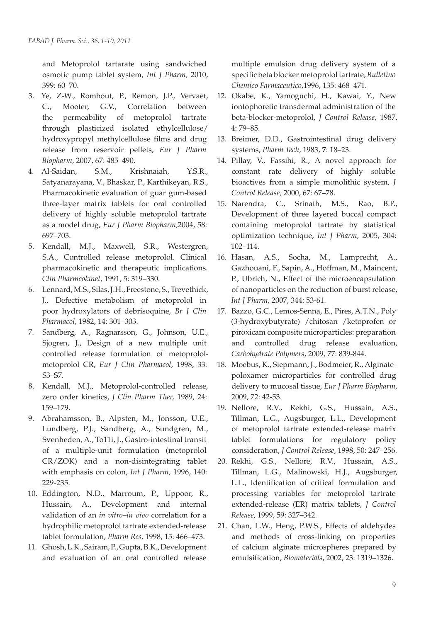and Metoprolol tartarate using sandwiched osmotic pump tablet system, *Int J Pharm,* 2010, 399: 60–70.

- 3. Ye, Z-W., Rombout, P., Remon, J.P., Vervaet, C., Mooter, G.V., Correlation between the permeability of metoprolol tartrate through plasticized isolated ethylcellulose/ hydroxypropyl methylcellulose films and drug release from reservoir pellets, *Eur J Pharm Biopharm,* 2007, 67: 485–490.
- 4. Al-Saidan, S.M., Krishnaiah, Y.S.R., Satyanarayana, V., Bhaskar, P., Karthikeyan, R.S., Pharmacokinetic evaluation of guar gum-based three-layer matrix tablets for oral controlled delivery of highly soluble metoprolol tartrate as a model drug, *Eur J Pharm Biopharm,*2004, 58: 697–703.
- 5. Kendall, M.J., Maxwell, S.R., Westergren, S.A., Controlled release metoprolol. Clinical pharmacokinetic and therapeutic implications. *Clin Pharmcokinet,* 1991, 5: 319–330.
- 6. Lennard, M.S., Silas, J.H., Freestone, S., Trevethick, J., Defective metabolism of metoprolol in poor hydroxylators of debrisoquine, *Br J Clin Pharmacol,* 1982, 14: 301–303.
- 7. Sandberg, A., Ragnarsson, G., Johnson, U.E., Sjogren, J., Design of a new multiple unit controlled release formulation of metoprololmetoprolol CR, *Eur J Clin Pharmacol,* 1998, 33: S3–S7.
- 8. Kendall, M.J., Metoprolol-controlled release, zero order kinetics, *J Clin Pharm Ther,* 1989, 24: 159–179.
- 9. Abrahamsson, B., Alpsten, M., Jonsson, U.E., Lundberg, P.J., Sandberg, A., Sundgren, M., Svenheden, A., To11i, J., Gastro-intestinal transit of a multiple-unit formulation (metoprolol CR/ZOK) and a non-disintegrating tablet with emphasis on colon, *Int J Pharm,* 1996, 140: 229-235.
- 10. Eddington, N.D., Marroum, P., Uppoor, R., Hussain, A., Development and internal validation of an *in vitro–in vivo* correlation for a hydrophilic metoprolol tartrate extended-release tablet formulation, *Pharm Res,* 1998, 15: 466–473.
- 11. Ghosh, L.K., Sairam, P., Gupta, B.K., Development and evaluation of an oral controlled release

multiple emulsion drug delivery system of a specific beta blocker metoprolol tartrate, *Bulletino Chemico Farmaceutico,*1996, 135: 468–471.

- 12. Okabe, K., Yamoguchi, H., Kawai, Y., New iontophoretic transdermal administration of the beta-blocker-metoprolol, *J Control Release,* 1987, 4: 79–85.
- 13. Breimer, D.D., Gastrointestinal drug delivery systems, *Pharm Tech,* 1983, **7**: 18–23.
- 14. Pillay, V., Fassihi, R., A novel approach for constant rate delivery of highly soluble bioactives from a simple monolithic system, *J Control Release,* 2000, 67: 67–78.
- 15. Narendra, C., Srinath, M.S., Rao, B.P., Development of three layered buccal compact containing metoprolol tartrate by statistical optimization technique, *Int J Pharm,* 2005, 304: 102–114.
- 16. Hasan, A.S., Socha, M., Lamprecht, A., Gazhouani, F., Sapin, A., Hoffman, M., Maincent, P., Ubrich, N., Effect of the microencapsulation of nanoparticles on the reduction of burst release, *Int J Pharm,* 2007, 344: 53-61.
- 17. Bazzo, G.C., Lemos-Senna, E., Pires, A.T.N., Poly (3-hydroxybutyrate) /chitosan /ketoprofen or piroxicam composite microparticles: preparation and controlled drug release evaluation, *Carbohydrate Polymers*, 2009, 77: 839-844.
- 18. Moebus, K., Siepmann, J., Bodmeier, R., Alginate– poloxamer microparticles for controlled drug delivery to mucosal tissue, *Eur J Pharm Biopharm,*  2009, 72: 42-53.
- 19. Nellore, R.V., Rekhi, G.S., Hussain, A.S., Tillman, L.G., Augsburger, L.L., Development of metoprolol tartrate extended-release matrix tablet formulations for regulatory policy consideration, *J Control Release,* 1998, 50: 247–256.
- 20. Rekhi, G.S., Nellore, R.V., Hussain, A.S., Tillman, L.G., Malinowski, H.J., Augsburger, L.L., Identification of critical formulation and processing variables for metoprolol tartrate extended-release (ER) matrix tablets, *J Control Release,* 1999, 59: 327–342.
- 21. Chan, L.W., Heng, P.W.S., Effects of aldehydes and methods of cross-linking on properties of calcium alginate microspheres prepared by emulsification, *Biomaterials*, 2002, 23: 1319–1326.